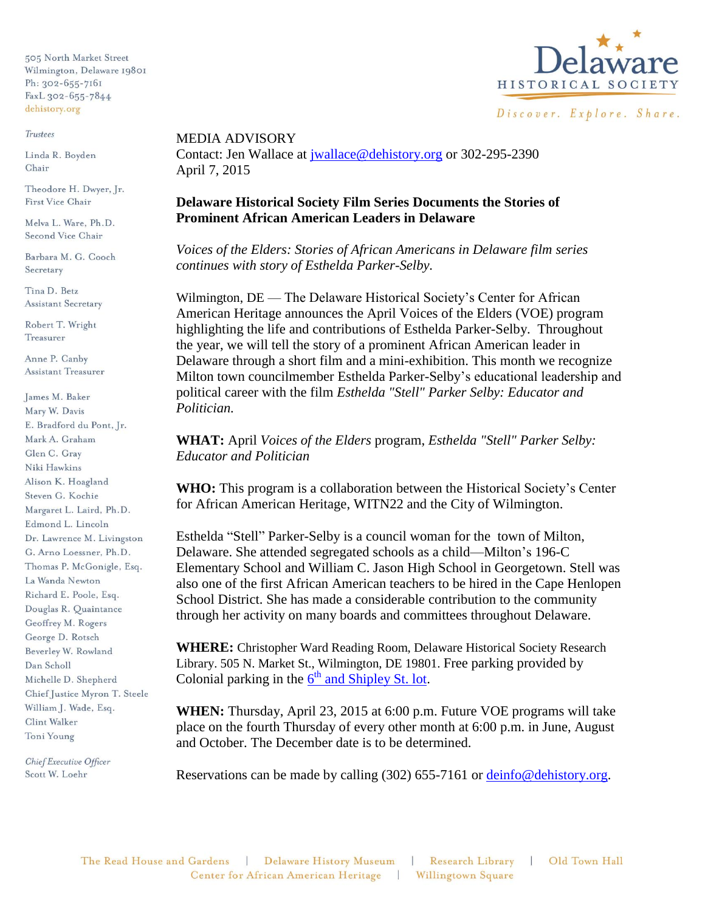505 North Market Street Wilmington, Delaware 19801 Ph: 302-655-7161 FaxL 302-655-7844 dehistory.org

## **Trustees**

Linda R. Boyden Chair

Theodore H. Dwyer, Jr. First Vice Chair

Melva L. Ware, Ph.D. Second Vice Chair

Barbara M. G. Cooch Secretary

Tina D. Betz **Assistant Secretary** 

Robert T. Wright Treasurer

Anne P. Canby **Assistant Treasurer** 

James M. Baker Mary W. Davis E. Bradford du Pont, Jr. Mark A. Graham Glen C. Grav Niki Hawkins Alison K. Hoagland Steven G. Kochie Margaret L. Laird, Ph.D. Edmond L. Lincoln Dr. Lawrence M. Livingston G. Arno Loessner, Ph.D. Thomas P. McGonigle, Esq. La Wanda Newton Richard E. Poole, Esq. Douglas R. Quaintance Geoffrey M. Rogers George D. Rotsch Beverley W. Rowland Dan Scholl Michelle D. Shepherd Chief Justice Myron T. Steele William J. Wade, Esq. Clint Walker Toni Young

Chief Executive Officer Scott W. Loehr



MEDIA ADVISORY Contact: Jen Wallace at [jwallace@dehistory.org](mailto:jwallace@dehistory.org) or 302-295-2390 April 7, 2015

## **Delaware Historical Society Film Series Documents the Stories of Prominent African American Leaders in Delaware**

*Voices of the Elders: Stories of African Americans in Delaware film series continues with story of Esthelda Parker-Selby.*

Wilmington, DE — The Delaware Historical Society's Center for African American Heritage announces the April Voices of the Elders (VOE) program highlighting the life and contributions of Esthelda Parker-Selby. Throughout the year, we will tell the story of a prominent African American leader in Delaware through a short film and a mini-exhibition. This month we recognize Milton town councilmember Esthelda Parker-Selby's educational leadership and political career with the film *Esthelda "Stell" Parker Selby: Educator and Politician.*

**WHAT:** April *Voices of the Elders* program, *Esthelda "Stell" Parker Selby: Educator and Politician*

**WHO:** This program is a collaboration between the Historical Society's Center for African American Heritage, WITN22 and the City of Wilmington.

Esthelda "Stell" Parker-Selby is a council woman for the town of Milton, Delaware. She attended segregated schools as a child—Milton's 196-C Elementary School and William C. Jason High School in Georgetown. Stell was also one of the first African American teachers to be hired in the Cape Henlopen School District. She has made a considerable contribution to the community through her activity on many boards and committees throughout Delaware.

**WHERE:** Christopher Ward Reading Room, Delaware Historical Society Research Library. 505 N. Market St., Wilmington, DE 19801. Free parking provided by Colonial parking in the  $6<sup>th</sup>$  [and Shipley St. lot.](http://colonialparking.com/locations/6th-shipley-street-lot/)

**WHEN:** Thursday, April 23, 2015 at 6:00 p.m. Future VOE programs will take place on the fourth Thursday of every other month at 6:00 p.m. in June, August and October. The December date is to be determined.

Reservations can be made by calling (302) 655-7161 or [deinfo@dehistory.org.](mailto:deinfo@dehistory.org?subject=Voices%20of%20Elders)